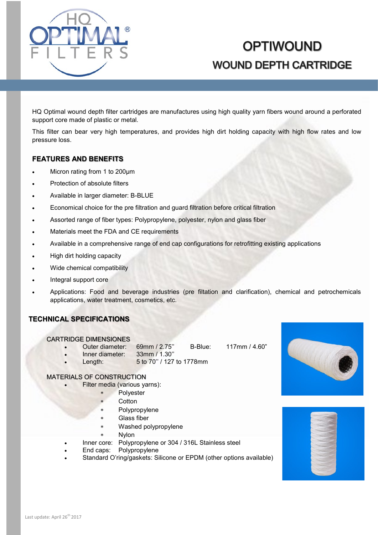

# **OPTIWOUND WOUND DEPTH CARTRIDGE**

HQ Optimal wound depth filter cartridges are manufactures using high quality yarn fibers wound around a perforated support core made of plastic or metal.

This filter can bear very high temperatures, and provides high dirt holding capacity with high flow rates and low pressure loss.

#### **FEATURES AND BENEFITS**

- Micron rating from 1 to 200µm
- Protection of absolute filters
- Available in larger diameter: B-BLUE
- Economical choice for the pre filtration and guard filtration before critical filtration
- Assorted range of fiber types: Polypropylene, polyester, nylon and glass fiber
- Materials meet the FDA and CE requirements
- Available in a comprehensive range of end cap configurations for retrofitting existing applications
- High dirt holding capacity
- Wide chemical compatibility
- Integral support core
- Applications: Food and beverage industries (pre filtation and clarification), chemical and petrochemicals applications, water treatment, cosmetics, etc.

#### **TECHNICAL SPECIFICATIONS**

#### CARTRIDGE DIMENSIONES

- Outer diameter: 69mm / 2.75'' B-Blue: 117mm / 4.60"
	- Inner diameter: 33mm / 1.30''
- 
- 
- Length: 5 to 70'' / 127 to 1778mm

## MATERIALS OF CONSTRUCTION

- Filter media (various yarns):
	- Polyester
	- **Cotton**
	- Polypropylene
	- Glass fiber
	- Washed polypropylene
		- Nylon
	- Inner core: Polypropylene or 304 / 316L Stainless steel
- End caps: Polypropylene
- Standard O'ring/gaskets: Silicone or EPDM (other options available)